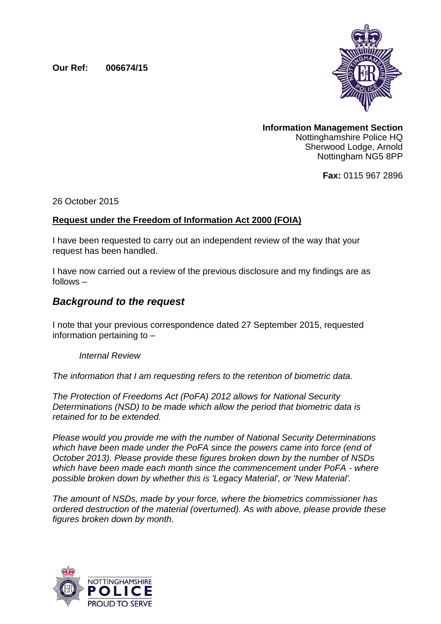**Our Ref: 006674/15**



**Information Management Section** Nottinghamshire Police HQ Sherwood Lodge, Arnold Nottingham NG5 8PP

**Fax:** 0115 967 2896

26 October 2015

## **Request under the Freedom of Information Act 2000 (FOIA)**

I have been requested to carry out an independent review of the way that your request has been handled.

I have now carried out a review of the previous disclosure and my findings are as follows –

## *Background to the request*

I note that your previous correspondence dated 27 September 2015, requested information pertaining to –

*Internal Review* 

*The information that I am requesting refers to the retention of biometric data.* 

*The Protection of Freedoms Act (PoFA) 2012 allows for National Security Determinations (NSD) to be made which allow the period that biometric data is retained for to be extended.* 

*Please would you provide me with the number of National Security Determinations which have been made under the PoFA since the powers came into force (end of October 2013). Please provide these figures broken down by the number of NSDs which have been made each month since the commencement under PoFA - where possible broken down by whether this is 'Legacy Material', or 'New Material'.*

*The amount of NSDs, made by your force, where the biometrics commissioner has ordered destruction of the material (overturned). As with above, please provide these figures broken down by month.*